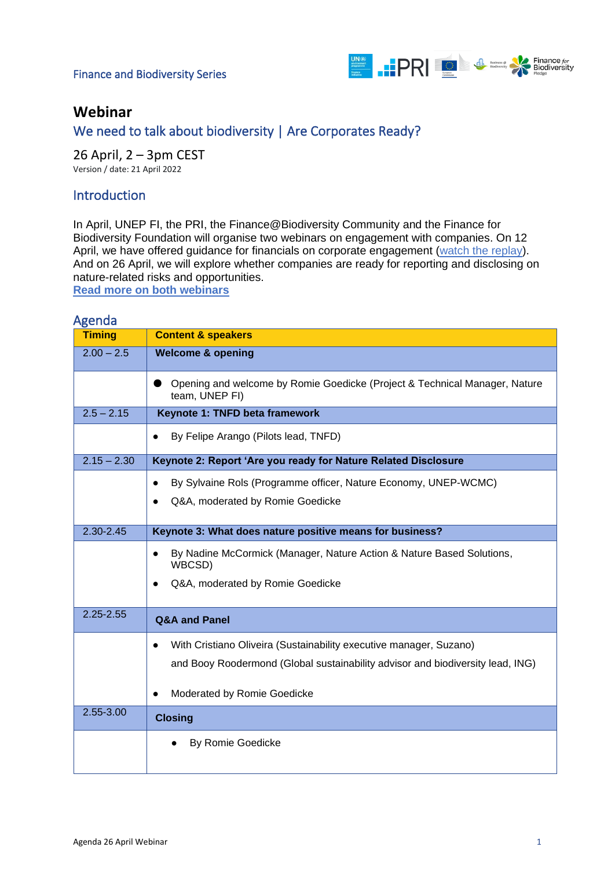#### Finance and Biodiversity Series



## **Webinar**

## We need to talk about biodiversity | Are Corporates Ready?

26 April, 2 – 3pm CEST Version / date: 21 April 2022

## Introduction

In April, UNEP FI, the PRI, the Finance@Biodiversity Community and the Finance for Biodiversity Foundation will organise two webinars on engagement with companies. On 12 April, we have offered guidance for financials on corporate engagement [\(watch the replay\)](https://www.brighttalk.com/webcast/17290/535679?utm_source=UNEnvironmentFinanceInitiative&utm_medium=brighttalk&utm_campaign=535679). And on 26 April, we will explore whether companies are ready for reporting and disclosing on nature-related risks and opportunities.

**[Read more on both webinars](https://www.financeforbiodiversity.org/we-need-to-talk-about-biodiversity-webinars-on-engagement/)**

# **Timing Content & speakers** 2.00 – 2.5 **Welcome & opening** ● Opening and welcome by Romie Goedicke (Project & Technical Manager, Nature team, UNEP FI) 2.5 – 2.15 **O Keynote 1: TNFD beta framework**  ● By Felipe Arango (Pilots lead, TNFD) 2.15 – 2.30 **Keynote 2: Report 'Are you ready for Nature Related Disclosure**  ● By Sylvaine Rols (Programme officer, Nature Economy, UNEP-WCMC) ● Q&A, moderated by Romie Goedicke 2.30-2.45 **Keynote 3: What does nature positive means for business?**  ● By Nadine McCormick (Manager, Nature Action & Nature Based Solutions, WBCSD) ● Q&A, moderated by Romie Goedicke 2.25-2.55 **Q&A and Panel** ● With Cristiano Oliveira (Sustainability executive manager, Suzano) and Booy Roodermond (Global sustainability advisor and biodiversity lead, ING) ● Moderated by Romie Goedicke 2.55-3.00 **Closing**  ● By Romie Goedicke

#### Agenda